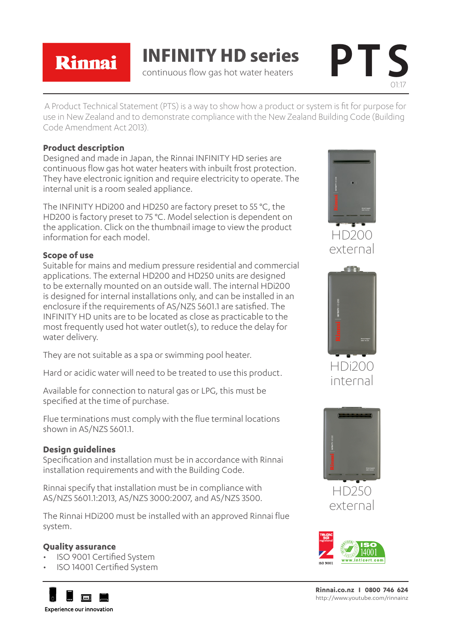Rinnai

INFINITY HD series continuous flow gas hot water heaters **PT S**



A Product Technical Statement (PTS) is a way to show how a product or system is fit for purpose for use in New Zealand and to demonstrate compliance with the New Zealand Building Code (Building Code Amendment Act 2013).

## **Product description**

Designed and made in Japan, the Rinnai INFINITY HD series are continuous flow gas hot water heaters with inbuilt frost protection. They have electronic ignition and require electricity to operate. The internal unit is a room sealed appliance.

The INFINITY HDi200 and HD250 are factory preset to 55 °C, the HD200 is factory preset to 75 °C. Model selection is dependent on the application. Click on the thumbnail image to view the product information for each model.

# **Scope of use**

Suitable for mains and medium pressure residential and commercial applications. The external HD200 and HD250 units are designed to be externally mounted on an outside wall. The internal HDi200 is designed for internal installations only, and can be installed in an enclosure if the requirements of AS/NZS 5601.1 are satisfied. The INFINITY HD units are to be located as close as practicable to the most frequently used hot water outlet(s), to reduce the delay for water delivery.

They are not suitable as a spa or swimming pool heater.

Hard or acidic water will need to be treated to use this product.

Available for connection to natural gas or LPG, this must be specified at the time of purchase.

Flue terminations must comply with the flue terminal locations shown in AS/NZS 5601.1.

# **Design guidelines**

Specification and installation must be in accordance with Rinnai installation requirements and with the Building Code.

Rinnai specify that installation must be in compliance with AS/NZS 5601.1:2013, AS/NZS 3000:2007, and AS/NZS 3500.

The Rinnai HDi200 must be installed with an approved Rinnai flue system.

# **Quality assurance**

- ISO 9001 Certified System
- ISO 14001 Certified System







HDi20C internal



HD250 external



**Rinnai.co.nz I 0800 746 624** http://www.youtube.com/rinnainz